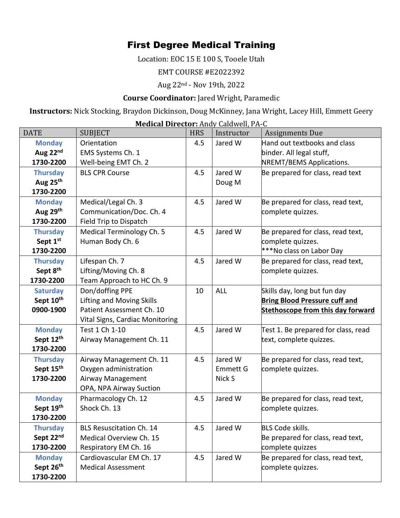## First Degree Medical Training

Location: EOC 15 E 100 S, Tooele Utah

EMT COURSE #E2022392

Aug 22nd - Nov 19th, 2022

## **Course Coordinator:** Jared Wright, Paramedic

**Instructors:** Nick Stocking, Braydon Dickinson, Doug McKinney, Jana Wright, Lacey Hill, Emmett Geery

**Medical Director:** Andy Caldwell, PA-C

| <b>DATE</b>          | <b>SUBJECT</b>                   | <b>HRS</b> | Instructor      | <b>Assignments Due</b>                   |
|----------------------|----------------------------------|------------|-----------------|------------------------------------------|
| <b>Monday</b>        | Orientation                      | 4.5        | Jared W         | Hand out textbooks and class             |
| Aug 22nd             | EMS Systems Ch. 1                |            |                 | binder. All legal stuff,                 |
| 1730-2200            | Well-being EMT Ch. 2             |            |                 | NREMT/BEMS Applications.                 |
| <b>Thursday</b>      | <b>BLS CPR Course</b>            | 4.5        | Jared W         | Be prepared for class, read text         |
| Aug 25th             |                                  |            | Doug M          |                                          |
| 1730-2200            |                                  |            |                 |                                          |
| <b>Monday</b>        | Medical/Legal Ch. 3              | 4.5        | Jared W         | Be prepared for class, read text,        |
| Aug 29th             | Communication/Doc. Ch. 4         |            |                 | complete quizzes.                        |
| 1730-2200            | Field Trip to Dispatch           |            |                 |                                          |
| <b>Thursday</b>      | Medical Terminology Ch. 5        | 4.5        | Jared W         | Be prepared for class, read text,        |
| Sept 1st             | Human Body Ch. 6                 |            |                 | complete quizzes.                        |
| 1730-2200            |                                  |            |                 | ***No class on Labor Day                 |
| <b>Thursday</b>      | Lifespan Ch. 7                   | 4.5        | Jared W         | Be prepared for class, read text,        |
| Sept 8 <sup>th</sup> | Lifting/Moving Ch. 8             |            |                 | complete quizzes.                        |
| 1730-2200            | Team Approach to HC Ch. 9        |            |                 |                                          |
| <b>Saturday</b>      | Don/doffing PPE                  | 10         | <b>ALL</b>      | Skills day, long but fun day             |
| Sept 10th            | <b>Lifting and Moving Skills</b> |            |                 | <b>Bring Blood Pressure cuff and</b>     |
| 0900-1900            | Patient Assessment Ch. 10        |            |                 | <b>Stethoscope from this day forward</b> |
|                      | Vital Signs, Cardiac Monitoring  |            |                 |                                          |
| <b>Monday</b>        | Test 1 Ch 1-10                   | 4.5        | Jared W         | Test 1. Be prepared for class, read      |
| Sept 12th            | Airway Management Ch. 11         |            |                 | text, complete quizzes.                  |
| 1730-2200            |                                  |            |                 |                                          |
| <b>Thursday</b>      | Airway Management Ch. 11         | 4.5        | Jared W         | Be prepared for class, read text,        |
| Sept 15th            | Oxygen administration            |            | <b>Emmett G</b> | complete quizzes.                        |
| 1730-2200            | Airway Management                |            | Nick S          |                                          |
|                      | OPA, NPA Airway Suction          |            |                 |                                          |
| <b>Monday</b>        | Pharmacology Ch. 12              | 4.5        | Jared W         | Be prepared for class, read text,        |
| Sept 19th            | Shock Ch. 13                     |            |                 | complete quizzes.                        |
| 1730-2200            |                                  |            |                 |                                          |
| <b>Thursday</b>      | <b>BLS Resuscitation Ch. 14</b>  | 4.5        | Jared W         | <b>BLS Code skills.</b>                  |
| Sept 22nd            | Medical Overview Ch. 15          |            |                 | Be prepared for class, read text,        |
| 1730-2200            | Respiratory EM Ch. 16            |            |                 | complete quizzes                         |
| <b>Monday</b>        | Cardiovascular EM Ch. 17         | 4.5        | Jared W         | Be prepared for class, read text,        |
| Sept 26th            | <b>Medical Assessment</b>        |            |                 | complete quizzes.                        |
| 1730-2200            |                                  |            |                 |                                          |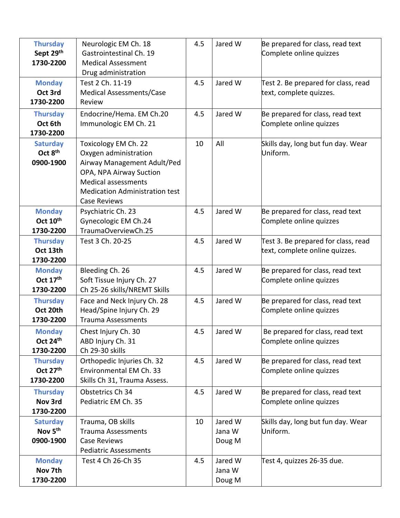| <b>Thursday</b><br>Sept 29th<br>1730-2200<br><b>Monday</b><br>Oct 3rd | Neurologic EM Ch. 18<br>Gastrointestinal Ch. 19<br><b>Medical Assessment</b><br>Drug administration<br>Test 2 Ch. 11-19<br>Medical Assessments/Case                                                   | 4.5<br>4.5 | Jared W<br>Jared W          | Be prepared for class, read text<br>Complete online quizzes<br>Test 2. Be prepared for class, read<br>text, complete quizzes. |
|-----------------------------------------------------------------------|-------------------------------------------------------------------------------------------------------------------------------------------------------------------------------------------------------|------------|-----------------------------|-------------------------------------------------------------------------------------------------------------------------------|
| 1730-2200<br><b>Thursday</b><br>Oct 6th<br>1730-2200                  | Review<br>Endocrine/Hema. EM Ch.20<br>Immunologic EM Ch. 21                                                                                                                                           | 4.5        | Jared W                     | Be prepared for class, read text<br>Complete online quizzes                                                                   |
| <b>Saturday</b><br>Oct 8 <sup>th</sup><br>0900-1900                   | Toxicology EM Ch. 22<br>Oxygen administration<br>Airway Management Adult/Ped<br>OPA, NPA Airway Suction<br><b>Medical assessments</b><br><b>Medication Administration test</b><br><b>Case Reviews</b> | 10         | All                         | Skills day, long but fun day. Wear<br>Uniform.                                                                                |
| <b>Monday</b><br>Oct 10 <sup>th</sup><br>1730-2200                    | Psychiatric Ch. 23<br>Gynecologic EM Ch.24<br>TraumaOverviewCh.25                                                                                                                                     | 4.5        | Jared W                     | Be prepared for class, read text<br>Complete online quizzes                                                                   |
| <b>Thursday</b><br>Oct 13th<br>1730-2200                              | Test 3 Ch. 20-25                                                                                                                                                                                      | 4.5        | Jared W                     | Test 3. Be prepared for class, read<br>text, complete online quizzes.                                                         |
| <b>Monday</b><br>Oct 17th<br>1730-2200                                | Bleeding Ch. 26<br>Soft Tissue Injury Ch. 27<br>Ch 25-26 skills/NREMT Skills                                                                                                                          | 4.5        | Jared W                     | Be prepared for class, read text<br>Complete online quizzes                                                                   |
| <b>Thursday</b><br>Oct 20th<br>1730-2200                              | Face and Neck Injury Ch. 28<br>Head/Spine Injury Ch. 29<br><b>Trauma Assessments</b>                                                                                                                  | 4.5        | Jared W                     | Be prepared for class, read text<br>Complete online quizzes                                                                   |
| <b>Monday</b><br>Oct 24th<br>1730-2200                                | Chest Injury Ch. 30<br>ABD Injury Ch. 31<br>Ch 29-30 skills                                                                                                                                           | 4.5        | Jared W                     | Be prepared for class, read text<br>Complete online quizzes                                                                   |
| <b>Thursday</b><br>Oct 27 <sup>th</sup><br>1730-2200                  | Orthopedic Injuries Ch. 32<br>Environmental EM Ch. 33<br>Skills Ch 31, Trauma Assess.                                                                                                                 | 4.5        | Jared W                     | Be prepared for class, read text<br>Complete online quizzes                                                                   |
| <b>Thursday</b><br>Nov 3rd<br>1730-2200                               | Obstetrics Ch 34<br>Pediatric EM Ch. 35                                                                                                                                                               | 4.5        | Jared W                     | Be prepared for class, read text<br>Complete online quizzes                                                                   |
| <b>Saturday</b><br>Nov 5 <sup>th</sup><br>0900-1900                   | Trauma, OB skills<br><b>Trauma Assessments</b><br><b>Case Reviews</b><br><b>Pediatric Assessments</b>                                                                                                 | 10         | Jared W<br>Jana W<br>Doug M | Skills day, long but fun day. Wear<br>Uniform.                                                                                |
| <b>Monday</b><br>Nov 7th<br>1730-2200                                 | Test 4 Ch 26-Ch 35                                                                                                                                                                                    | 4.5        | Jared W<br>Jana W<br>Doug M | Test 4, quizzes 26-35 due.                                                                                                    |